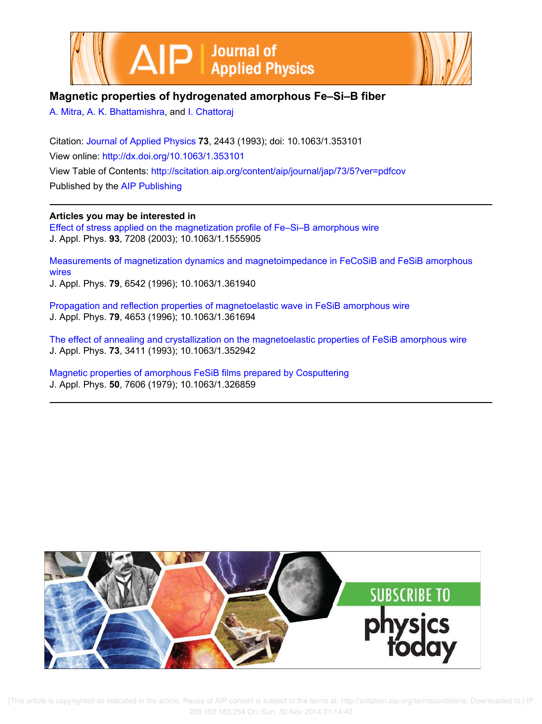



# **Magnetic properties of hydrogenated amorphous Fe–Si–B fiber**

A. Mitra, A. K. Bhattamishra, and I. Chattoraj

Citation: Journal of Applied Physics **73**, 2443 (1993); doi: 10.1063/1.353101 View online: http://dx.doi.org/10.1063/1.353101 View Table of Contents: http://scitation.aip.org/content/aip/journal/jap/73/5?ver=pdfcov Published by the AIP Publishing

**Articles you may be interested in**

Effect of stress applied on the magnetization profile of Fe–Si–B amorphous wire J. Appl. Phys. **93**, 7208 (2003); 10.1063/1.1555905

Measurements of magnetization dynamics and magnetoimpedance in FeCoSiB and FeSiB amorphous wires J. Appl. Phys. **79**, 6542 (1996); 10.1063/1.361940

Propagation and reflection properties of magnetoelastic wave in FeSiB amorphous wire J. Appl. Phys. **79**, 4653 (1996); 10.1063/1.361694

The effect of annealing and crystallization on the magnetoelastic properties of FeSiB amorphous wire J. Appl. Phys. **73**, 3411 (1993); 10.1063/1.352942

Magnetic properties of amorphous FeSiB films prepared by Cosputtering J. Appl. Phys. **50**, 7606 (1979); 10.1063/1.326859



 [This article is copyrighted as indicated in the article. Reuse of AIP content is subject to the terms at: http://scitation.aip.org/termsconditions. Downloaded to ] IP: 209.183.183.254 On: Sun, 30 Nov 2014 21:14:40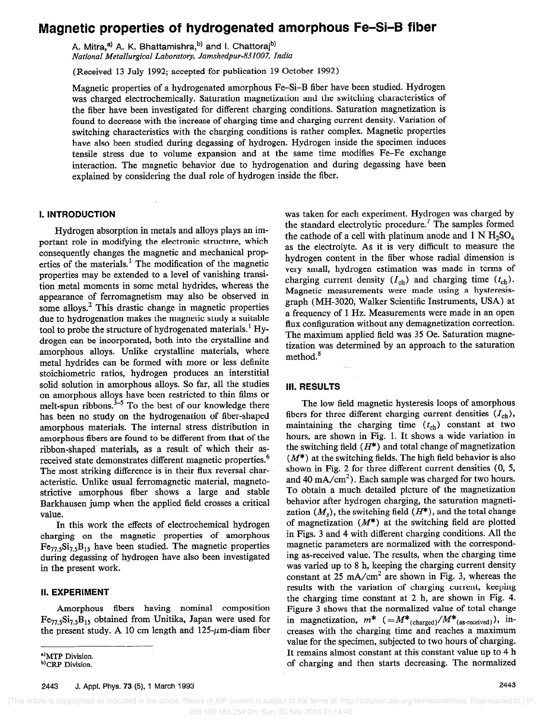# Magnetic properties of hydrogenated amorphous Fe-Si-B fiber

A. Mitra,<sup>a)</sup> A. K. Bhattamishra,<sup>b)</sup> and I. Chattoraj<sup>b)</sup> National Metallurgical Laboratory, Jamshedpur-831007, India

(Received 13 July 1992; accepted for publication 19 October 1992)

Magnetic properties of a hydrogenated amorphous Fe-Si-B fiber have been studied. Hydrogen was charged electrochemically. Saturation magnetization and the switching characteristics of the fiber have been investigated for different charging conditions. Saturation magnetization is found to decrease with the increase of charging time and charging current density. Variation of switching characteristics with the charging conditions is rather complex. Magnetic properties have also been studied during degassing of hydrogen. Hydrogen inside the specimen induces tensile stress due to volume expansion and at the same time modifies Fe-Fe exchange interaction. The magnetic behavior due to hydrogenation and during degassing have been explained by considering the dual role of hydrogen inside the fiber.

## 1. INTRODUCTION

Hydrogen absorption in metals and alloys plays an important role in modifying the electronic structure, which consequently changes the magnetic and mechanical properties of the materials.' The modification of the magnetic properties may be extended to a level of vanishing transition metal moments in some metal hydrides, whereas the appearance of ferromagnetism may also be observed in some alloys.<sup>2</sup> This drastic change in magnetic properties due to hydrogenation makes the magnetic study a suitable tool to probe the structure of hydrogenated materials.<sup>1</sup> Hydrogen can be incorporated, both into the crystalline and amorphous alloys. Unlike crystalline materials, where metal hydrides can be formed with more or less definite stoichiometric ratios, hydrogen produces an interstitial solid solution in amorphous alloys. So far, all the studies on amorphous alloys have been restricted to thin films or melt-spun ribbons. $3-5$  To the best of our knowledge there has been no study on the hydrogenation of fiber-shaped amorphous materials. The internal stress distribution in amorphous fibers are found to be different from that of the ribbon-shaped materials, as a result of which their asreceived state demonstrates different magnetic properties.<sup>6</sup> The most striking difference is in their flux reversal characteristic. Unlike usual ferromagnetic material, magnetostrictive amorphous fiber shows a large and stable Barkhausen jump when the applied field crosses a critical value.

In this work the effects of electrochemical hydrogen charging on the magnetic properties of amorphous  $Fe_{77}$ , $Si_{7.5}B_{15}$  have been studied. The magnetic properties during degassing of hydrogen have also been investigated in the present work.

### II. EXPERIMENT

Amorphous fibers having nominal composition  $Fe_{77}$ <sub>5</sub>Si<sub>7</sub><sub>5</sub>B<sub>15</sub> obtained from Unitika, Japan were used for the present study. A 10 cm length and  $125-\mu m$ -diam fiber

a)MTP Division. b) CRP Division.

was taken for each experiment. Hydrogen was charged by the standard electrolytic procedure.<sup>7</sup> The samples formed the cathode of a cell with platinum anode and  $1 \text{ N H}_2\text{SO}_4$ as the electrolyte. As it is very difficult to measure the hydrogen content in the fiber whose radial dimension is very small, hydrogen estimation was made in terms of charging current density  $(I_{ch})$  and charging time  $(t_{ch})$ . Magnetic measurements were made using a hysteresisgraph (MH-3020, Walker Scientific Instruments, USA) at a frequency of 1 Hz. Measurements were made in an open flux configuration without any demagnetization correction. The maximum applied field was 35 Oe. Saturation magnetization was determined by an approach to the saturation method.<sup>8</sup>

#### Ill. RESULTS

The low field magnetic hysteresis loops of amorphous fibers for three different charging current densities  $(I_{ch})$ , maintaining the charging time  $(t_{ch})$  constant at two hours, are shown in Fig. 1. It shows a wide variation in the switching field  $(H^*)$  and total change of magnetization  $(M^*)$  at the switching fields. The high field behavior is also shown in Fig. 2 for three different current densities (0, 5, and 40 mA/cm<sup>2</sup>). Each sample was charged for two hours. To obtain a much detailed picture of the magnetization behavior after hydrogen charging, the saturation magnetization  $(M<sub>s</sub>)$ , the switching field  $(H<sup>*</sup>)$ , and the total change of magnetization  $(M^*)$  at the switching field are plotted in Figs. 3 and 4 with different charging conditions. All the magnetic parameters are normalized with the corresponding as-received value. The results, when the charging time was varied up to 8 h, keeping the charging current density constant at  $25 \text{ mA/cm}^2$  are shown in Fig. 3, whereas the results with the variation of charging current, keeping the charging time constant at 2 h, are shown in Fig. 4. Figure 3 shows that the normalized value of total change in magnetization,  $m^*$  (= $M^*_{(charged)}/M^*_{(as\text{-received})})$ , increases with the charging time and reaches a maximum value for the specimen, subjected to two hours of charging. It remains almost constant at this constant value up to 4 h of charging and then starts decreasing. The normalized

2443 J. Appl. Phys. 73 (5), 1 March 1993 2443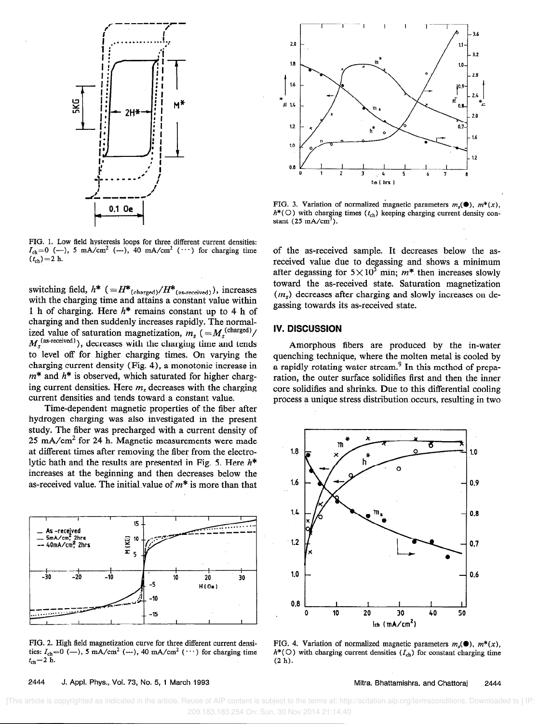

FIG. 1. Low field hysteresis loops for three different current densities:  $I_{ch}=0$  (--), 5 mA/cm<sup>2</sup> (---), 40 mA/cm<sup>2</sup> ( $\cdots$ ) for charging time  $(t_{ch}) = 2 h$ .

switching field,  $h^*$  (= $H^*_{(charged)}/H^*_{(as\text{-received})})$ , increases with the charging time and attains a constant value within 1 h of charging. Here  $h^*$  remains constant up to 4 h of charging and then suddenly increases rapidly. The normalized value of saturation magnetization,  $m_s$  ( $=M_s^{(c) \text{range}(\mathcal{U})}/\mathcal{U}$  $M_s^{\text{(as received)}}$ ), decreases with the charging time and tends to level off for higher charging times. On varying the charging current density (Fig. 4), a monotonic increase in  $m^*$  and  $h^*$  is observed, which saturated for higher charging current densities. Here  $m_s$  decreases with the charging current densities and tends toward a constant value.

Time-dependent magnetic properties of the fiber after hydrogen charging was also investigated in the present study. The fiber was precharged with a current density of  $25 \text{ mA/cm}^2$  for 24 h. Magnetic measurements were made at different times after removing the fiber from the electrolytic bath and the results are presented in Fig. 5. Here  $h^*$ increases at the beginning and then decreases below the as-received value. The initial value of  $m^*$  is more than that



FIG. 2. High field magnetization curve for three different current densities:  $I_{ch}=0$  (--), 5 mA/cm<sup>2</sup> (---), 40 mA/cm<sup>2</sup> ( $\cdots$ ) for charging time  $t_{ch}=2$  h.  $t_{ch}=2$  h. (2 h).



FIG. 3. Variation of normalized magnetic parameters  $m_i(\bullet)$ ,  $m^*(x)$ ,  $h^*(\bigcirc)$  with charging times  $(t_{ch})$  keeping charging current density constant  $(25 \text{ mA/cm}^2)$ .

of the as-received sample. It decreases below the asreceived value due to degassing and shows a minimum after degassing for  $5 \times 10^3$  min;  $m^*$  then increases slowly toward the as-received state. Saturation magnetization  $(m<sub>s</sub>)$  decreases after charging and slowly increases on degassing towards its as-received state.

#### IV. DISCUSSION

Amorphous fibers are produced by the in-water quenching technique, where the molten metal is cooled by a rapidly rotating water stream.<sup>9</sup> In this method of preparation, the outer surface solidifies first and then the inner core solidifies and shrinks. Due to this differential cooling process a unique stress distribution occurs, resulting in two



FIG. 4. Variation of normalized magnetic parameters  $m_i(\bullet)$ ,  $m^*(x)$ ,  $h^*(\bigcirc)$  with charging current densities  $(I_{ch})$  for constant charging time

#### 2444 J. Appl. Phys., Vol. 73, No. 5, 1 March 1993 Mitra, Bhattamishra, and Chattorai 2444

 [This article is copyrighted as indicated in the article. Reuse of AIP content is subject to the terms at: http://scitation.aip.org/termsconditions. Downloaded to ] IP: 209.183.183.254 On: Sun, 30 Nov 2014 21:14:40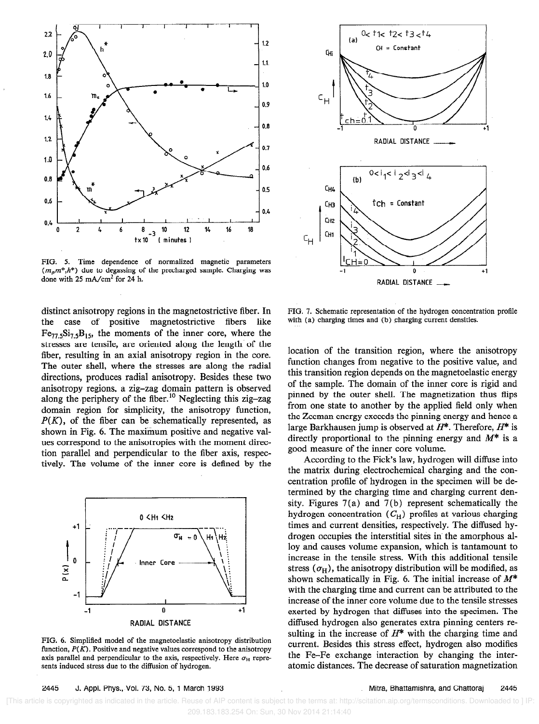

FIG. 5. Time dependence of normalized magnetic parameters  $(m<sub>s</sub>m*,h*)$  due to degassing of the precharged sample. Charging was done with  $25 \text{ mA/cm}^2$  for  $24 \text{ h}$ .

distinct anisotropy regions in the magnetostrictive fiber. In the case of positive magnetostrictive fibers like  $Fe_{77.5}Si_{7.5}B_{15}$ , the moments of the inner core, where the stresses are tensile, are oriented along the length of the fiber, resulting in an axial anisotropy region in the core. The outer shell, where the stresses are along the radial directions, produces radial anisotropy. Besides these two anisotropy regions, a zig-zag domain pattern is observed along the periphery of the fiber.<sup>10</sup> Neglecting this zig-zag domain region for simplicity, the anisotropy function,  $P(K)$ , of the fiber can be schematically represented, as shown in Fig. 6. The maximum positive and negative values correspond to the anisotropies with the moment direction parallel and perpendicular to the fiber axis, respectively. The volume of the inner core is defined by the



FIG. 6. Simplified model of the magnetoelastic anisotropy distribution function,  $P(K)$ . Positive and negative values correspond to the anisotropy axis parallel and perpendicular to the axis, respectively. Here  $\sigma_{\rm H}$  represents induced stress due to the diffusion of hydrogen.



FIG. 7. Schematic representation of the hydrogen concentration profile with (a) charging times and (b) charging current densities.

location of the transition region, where the anisotropy function changes from negative to the positive value, and this transition region depends on the magnetoelastic energy of the sample. The domain of the inner core is rigid and pinned by the outer shell. The magnetization thus flips from one state to another by the applied field only when the Zeeman energy exceeds the pinning energy and hence a large Barkhausen jump is observed at  $H^*$ . Therefore,  $H^*$  is directly proportional to the pinning energy and  $M^*$  is a good measure of the inner core volume.

According to the Fick's law, hydrogen will diffuse into the matrix during electrochemical charging and the concentration profile of hydrogen in the specimen will be determined by the charging time and charging current density. Figures 7(a) and 7(b) represent schematically the hydrogen concentration  $(C_H)$  profiles at various charging times and current densities, respectively. The diffused hydrogen occupies the interstitial sites in the amorphous alloy and causes volume expansion, which is tantamount to increase in the tensile stress. With this additional tensile stress  $(\sigma_H)$ , the anisotropy distribution will be modified, as shown schematically in Fig. 6. The initial increase of  $M^*$ with the charging time and current can be attributed to the increase of the inner core volume due to the tensile stresses exerted by hydrogen that diffuses into the specimen. The diffused hydrogen also generates extra pinning centers resulting in the increase of  $H^*$  with the charging time and current. Besides this stress effect, hydrogen also modifies the Fe-Fe exchange interaction by changing the interatomic distances. The decrease of saturation magnetization

2445 J. Appl. Phys., Vol. 73, No. 5, 1 March 1993 Mitra, Bhattamishra, and Chattoraj 2445

 [This article is copyrighted as indicated in the article. Reuse of AIP content is subject to the terms at: http://scitation.aip.org/termsconditions. Downloaded to ] IP: 209.183.183.254 On: Sun, 30 Nov 2014 21:14:40